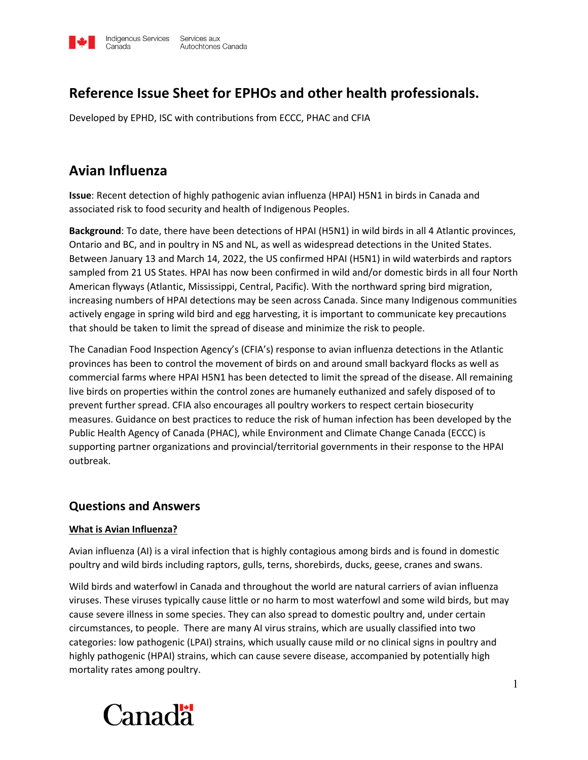

# **Reference Issue Sheet for EPHOs and other health professionals.**

Developed by EPHD, ISC with contributions from ECCC, PHAC and CFIA

# **Avian Influenza**

**Issue**: Recent detection of highly pathogenic avian influenza (HPAI) H5N1 in birds in Canada and associated risk to food security and health of Indigenous Peoples.

**Background**: To date, there have been detections of HPAI (H5N1) in wild birds in all 4 Atlantic provinces, Ontario and BC, and in poultry in NS and NL, as well as widespread detections in the United States. Between January 13 and March 14, 2022, the US confirmed HPAI (H5N1) in wild waterbirds and raptors sampled from 21 US States. HPAI has now been confirmed in wild and/or domestic birds in all four North American flyways (Atlantic, Mississippi, Central, Pacific). With the northward spring bird migration, increasing numbers of HPAI detections may be seen across Canada. Since many Indigenous communities actively engage in spring wild bird and egg harvesting, it is important to communicate key precautions that should be taken to limit the spread of disease and minimize the risk to people.

The Canadian Food Inspection Agency's (CFIA's) response to avian influenza detections in the Atlantic provinces has been to control the movement of birds on and around small backyard flocks as well as commercial farms where HPAI H5N1 has been detected to limit the spread of the disease. All remaining live birds on properties within the control zones are humanely euthanized and safely disposed of to prevent further spread. CFIA also encourages all poultry workers to respect certain biosecurity measures. Guidance on best practices to reduce the risk of human infection has been developed by the Public Health Agency of Canada (PHAC), while Environment and Climate Change Canada (ECCC) is supporting partner organizations and provincial/territorial governments in their response to the HPAI outbreak.

## **Questions and Answers**

#### **What is Avian Influenza?**

Avian influenza (AI) is a viral infection that is highly contagious among birds and is found in domestic poultry and wild birds including raptors, gulls, terns, shorebirds, ducks, geese, cranes and swans.

Wild birds and waterfowl in Canada and throughout the world are natural carriers of avian influenza viruses. These viruses typically cause little or no harm to most waterfowl and some wild birds, but may cause severe illness in some species. They can also spread to domestic poultry and, under certain circumstances, to people. There are many AI virus strains, which are usually classified into two categories: low pathogenic (LPAI) strains, which usually cause mild or no clinical signs in poultry and highly pathogenic (HPAI) strains, which can cause severe disease, accompanied by potentially high mortality rates among poultry.

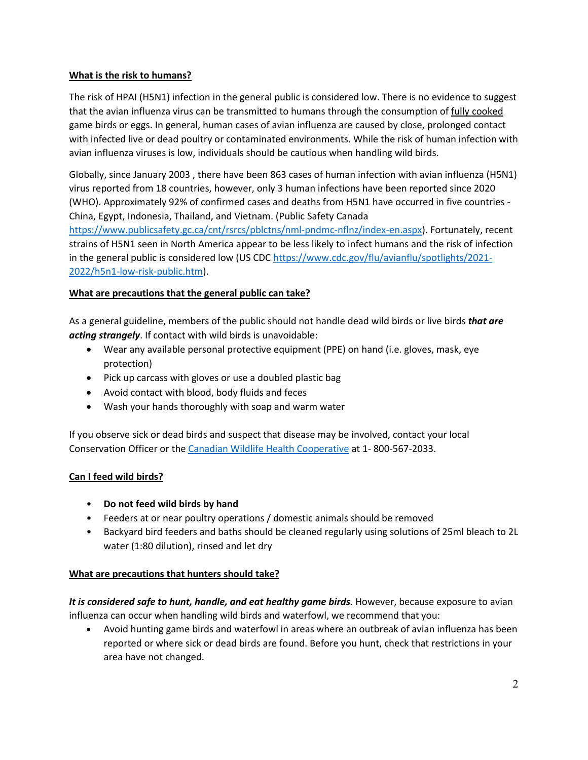## **What is the risk to humans?**

The risk of HPAI (H5N1) infection in the general public is considered low. There is no evidence to suggest that the avian influenza virus can be transmitted to humans through the consumption of fully cooked game birds or eggs. In general, human cases of avian influenza are caused by close, prolonged contact with infected live or dead poultry or contaminated environments. While the risk of human infection with avian influenza viruses is low, individuals should be cautious when handling wild birds.

Globally, since January 2003 , there have been 863 cases of human infection with avian influenza (H5N1) virus reported from 18 countries, however, only 3 human infections have been reported since 2020 (WHO). Approximately 92% of confirmed cases and deaths from H5N1 have occurred in five countries - China, Egypt, Indonesia, Thailand, and Vietnam. (Public Safety Canada

[https://www.publicsafety.gc.ca/cnt/rsrcs/pblctns/nml-pndmc-nflnz/index-en.aspx\)](https://www.publicsafety.gc.ca/cnt/rsrcs/pblctns/nml-pndmc-nflnz/index-en.aspx). Fortunately, recent strains of H5N1 seen in North America appear to be less likely to infect humans and the risk of infection in the general public is considered low (US CDC [https://www.cdc.gov/flu/avianflu/spotlights/2021-](https://www.cdc.gov/flu/avianflu/spotlights/2021-2022/h5n1-low-risk-public.htm) [2022/h5n1-low-risk-public.htm\)](https://www.cdc.gov/flu/avianflu/spotlights/2021-2022/h5n1-low-risk-public.htm).

#### **What are precautions that the general public can take?**

As a general guideline, members of the public should not handle dead wild birds or live birds *that are acting strangely*. If contact with wild birds is unavoidable:

- Wear any available personal protective equipment (PPE) on hand (i.e. gloves, mask, eye protection)
- Pick up carcass with gloves or use a doubled plastic bag
- Avoid contact with blood, body fluids and feces
- Wash your hands thoroughly with soap and warm water

If you observe sick or dead birds and suspect that disease may be involved, contact your local Conservation Officer or the [Canadian Wildlife Health Cooperative](http://www.cwhc-rcsf.ca/report_submit.php) at 1- 800-567-2033.

## **Can I feed wild birds?**

- **Do not feed wild birds by hand**
- Feeders at or near poultry operations / domestic animals should be removed
- Backyard bird feeders and baths should be cleaned regularly using solutions of 25ml bleach to 2L water (1:80 dilution), rinsed and let dry

#### **What are precautions that hunters should take?**

*It is considered safe to hunt, handle, and eat healthy game birds.* However, because exposure to avian influenza can occur when handling wild birds and waterfowl, we recommend that you:

• Avoid hunting game birds and waterfowl in areas where an outbreak of avian influenza has been reported or where sick or dead birds are found. Before you hunt, check that restrictions in your area have not changed.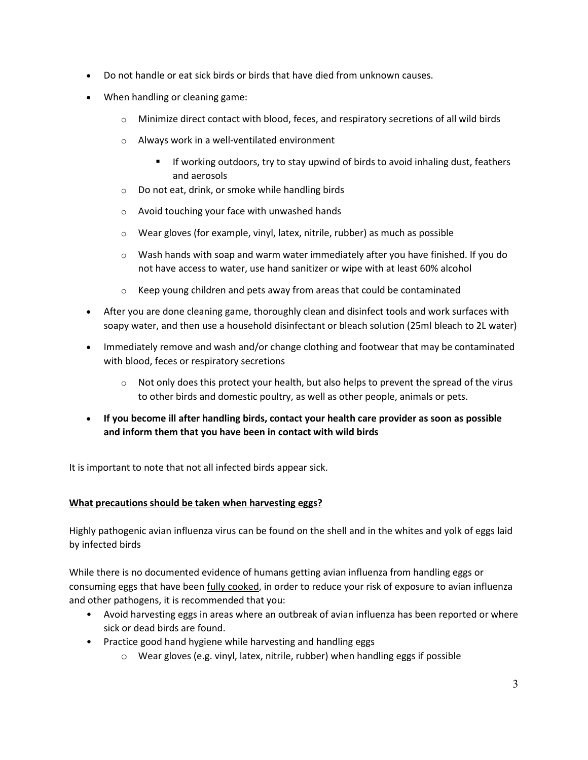- Do not handle or eat sick birds or birds that have died from unknown causes.
- When handling or cleaning game:
	- $\circ$  Minimize direct contact with blood, feces, and respiratory secretions of all wild birds
	- o Always work in a well-ventilated environment
		- If working outdoors, try to stay upwind of birds to avoid inhaling dust, feathers and aerosols
	- o Do not eat, drink, or smoke while handling birds
	- o Avoid touching your face with unwashed hands
	- o Wear gloves (for example, vinyl, latex, nitrile, rubber) as much as possible
	- $\circ$  Wash hands with soap and warm water immediately after you have finished. If you do not have access to water, use hand sanitizer or wipe with at least 60% alcohol
	- $\circ$  Keep young children and pets away from areas that could be contaminated
- After you are done cleaning game, thoroughly clean and disinfect tools and work surfaces with soapy water, and then use a household disinfectant or bleach solution (25ml bleach to 2L water)
- Immediately remove and wash and/or change clothing and footwear that may be contaminated with blood, feces or respiratory secretions
	- $\circ$  Not only does this protect your health, but also helps to prevent the spread of the virus to other birds and domestic poultry, as well as other people, animals or pets.
- **If you become ill after handling birds, contact your health care provider as soon as possible and inform them that you have been in contact with wild birds**

It is important to note that not all infected birds appear sick.

## **What precautions should be taken when harvesting eggs?**

Highly pathogenic avian influenza virus can be found on the shell and in the whites and yolk of eggs laid by infected birds

While there is no documented evidence of humans getting avian influenza from handling eggs or consuming eggs that have been fully cooked, in order to reduce your risk of exposure to avian influenza and other pathogens, it is recommended that you:

- Avoid harvesting eggs in areas where an outbreak of avian influenza has been reported or where sick or dead birds are found.
- Practice good hand hygiene while harvesting and handling eggs
	- $\circ$  Wear gloves (e.g. vinyl, latex, nitrile, rubber) when handling eggs if possible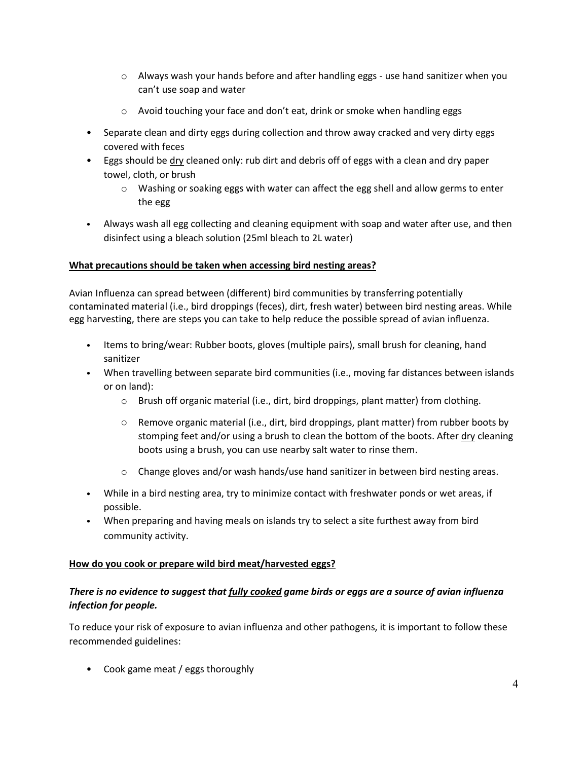- $\circ$  Always wash your hands before and after handling eggs use hand sanitizer when you can't use soap and water
- $\circ$  Avoid touching your face and don't eat, drink or smoke when handling eggs
- Separate clean and dirty eggs during collection and throw away cracked and very dirty eggs covered with feces
- Eggs should be dry cleaned only: rub dirt and debris off of eggs with a clean and dry paper towel, cloth, or brush
	- o Washing or soaking eggs with water can affect the egg shell and allow germs to enter the egg
- Always wash all egg collecting and cleaning equipment with soap and water after use, and then disinfect using a bleach solution (25ml bleach to 2L water)

## **What precautions should be taken when accessing bird nesting areas?**

Avian Influenza can spread between (different) bird communities by transferring potentially contaminated material (i.e., bird droppings (feces), dirt, fresh water) between bird nesting areas. While egg harvesting, there are steps you can take to help reduce the possible spread of avian influenza.

- Items to bring/wear: Rubber boots, gloves (multiple pairs), small brush for cleaning, hand sanitizer
- When travelling between separate bird communities (i.e., moving far distances between islands or on land):
	- o Brush off organic material (i.e., dirt, bird droppings, plant matter) from clothing.
	- $\circ$  Remove organic material (i.e., dirt, bird droppings, plant matter) from rubber boots by stomping feet and/or using a brush to clean the bottom of the boots. After  $\frac{div}{dx}$  cleaning boots using a brush, you can use nearby salt water to rinse them.
	- $\circ$  Change gloves and/or wash hands/use hand sanitizer in between bird nesting areas.
- While in a bird nesting area, try to minimize contact with freshwater ponds or wet areas, if possible.
- When preparing and having meals on islands try to select a site furthest away from bird community activity.

#### **How do you cook or prepare wild bird meat/harvested eggs?**

## *There is no evidence to suggest that fully cooked game birds or eggs are a source of avian influenza infection for people.*

To reduce your risk of exposure to avian influenza and other pathogens, it is important to follow these recommended guidelines:

• Cook game meat / eggs thoroughly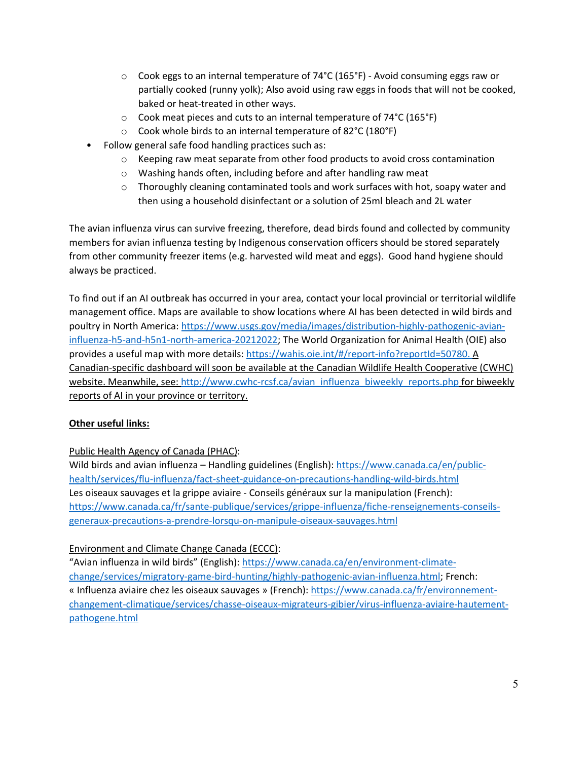- $\circ$  Cook eggs to an internal temperature of 74°C (165°F) Avoid consuming eggs raw or partially cooked (runny yolk); Also avoid using raw eggs in foods that will not be cooked, baked or heat-treated in other ways.
- o Cook meat pieces and cuts to an internal temperature of 74°C (165°F)
- o Cook whole birds to an internal temperature of 82°C (180°F)
- Follow general safe food handling practices such as:
	- $\circ$  Keeping raw meat separate from other food products to avoid cross contamination
	- o Washing hands often, including before and after handling raw meat
	- $\circ$  Thoroughly cleaning contaminated tools and work surfaces with hot, soapy water and then using a household disinfectant or a solution of 25ml bleach and 2L water

The avian influenza virus can survive freezing, therefore, dead birds found and collected by community members for avian influenza testing by Indigenous conservation officers should be stored separately from other community freezer items (e.g. harvested wild meat and eggs). Good hand hygiene should always be practiced.

To find out if an AI outbreak has occurred in your area, contact your local provincial or territorial wildlife management office. Maps are available to show locations where AI has been detected in wild birds and poultry in North America: [https://www.usgs.gov/media/images/distribution-highly-pathogenic-avian](https://www.usgs.gov/media/images/distribution-highly-pathogenic-avian-influenza-h5-and-h5n1-north-america-20212022)[influenza-h5-and-h5n1-north-america-20212022;](https://www.usgs.gov/media/images/distribution-highly-pathogenic-avian-influenza-h5-and-h5n1-north-america-20212022) The World Organization for Animal Health (OIE) also provides a useful map with more details: [https://wahis.oie.int/#/report-info?reportId=50780.](https://wahis.oie.int/#/report-info?reportId=50780) A Canadian-specific dashboard will soon be available at the Canadian Wildlife Health Cooperative (CWHC) website. Meanwhile, see: [http://www.cwhc-rcsf.ca/avian\\_influenza\\_biweekly\\_reports.php](http://www.cwhc-rcsf.ca/avian_influenza_biweekly_reports.php) for biweekly reports of AI in your province or territory.

## **Other useful links:**

## Public Health Agency of Canada (PHAC):

Wild birds and avian influenza – Handling guidelines (English): [https://www.canada.ca/en/public](https://www.canada.ca/en/public-health/services/flu-influenza/fact-sheet-guidance-on-precautions-handling-wild-birds.html)[health/services/flu-influenza/fact-sheet-guidance-on-precautions-handling-wild-birds.html](https://www.canada.ca/en/public-health/services/flu-influenza/fact-sheet-guidance-on-precautions-handling-wild-birds.html) Les oiseaux sauvages et la grippe aviaire - Conseils généraux sur la manipulation (French): [https://www.canada.ca/fr/sante-publique/services/grippe-influenza/fiche-renseignements-conseils](https://www.canada.ca/fr/sante-publique/services/grippe-influenza/fiche-renseignements-conseils-generaux-precautions-a-prendre-lorsqu-on-manipule-oiseaux-sauvages.html)[generaux-precautions-a-prendre-lorsqu-on-manipule-oiseaux-sauvages.html](https://www.canada.ca/fr/sante-publique/services/grippe-influenza/fiche-renseignements-conseils-generaux-precautions-a-prendre-lorsqu-on-manipule-oiseaux-sauvages.html)

## Environment and Climate Change Canada (ECCC):

"Avian influenza in wild birds" (English): [https://www.canada.ca/en/environment-climate](https://www.canada.ca/en/environment-climate-change/services/migratory-game-bird-hunting/highly-pathogenic-avian-influenza.html)[change/services/migratory-game-bird-hunting/highly-pathogenic-avian-influenza.html;](https://www.canada.ca/en/environment-climate-change/services/migratory-game-bird-hunting/highly-pathogenic-avian-influenza.html) French: « Influenza aviaire chez les oiseaux sauvages » (French): [https://www.canada.ca/fr/environnement](https://www.canada.ca/fr/environnement-changement-climatique/services/chasse-oiseaux-migrateurs-gibier/virus-influenza-aviaire-hautement-pathogene.html)[changement-climatique/services/chasse-oiseaux-migrateurs-gibier/virus-influenza-aviaire-hautement](https://www.canada.ca/fr/environnement-changement-climatique/services/chasse-oiseaux-migrateurs-gibier/virus-influenza-aviaire-hautement-pathogene.html)[pathogene.html](https://www.canada.ca/fr/environnement-changement-climatique/services/chasse-oiseaux-migrateurs-gibier/virus-influenza-aviaire-hautement-pathogene.html)